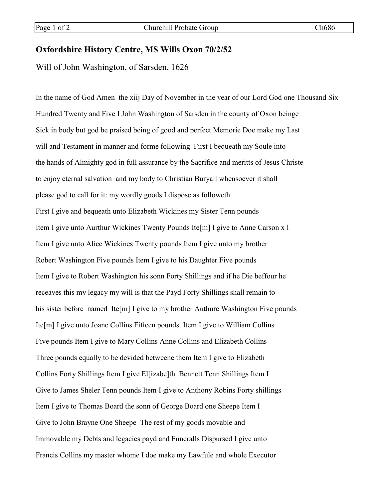## **Oxfordshire History Centre, MS Wills Oxon 70/2/52**

Will of John Washington, of Sarsden, 1626

In the name of God Amen the xiij Day of November in the year of our Lord God one Thousand Six Hundred Twenty and Five I John Washington of Sarsden in the county of Oxon beinge Sick in body but god be praised being of good and perfect Memorie Doe make my Last will and Testament in manner and forme following First I bequeath my Soule into the hands of Almighty god in full assurance by the Sacrifice and meritts of Jesus Christe to enjoy eternal salvation and my body to Christian Buryall whensoever it shall please god to call for it: my wordly goods I dispose as followeth First I give and bequeath unto Elizabeth Wickines my Sister Tenn pounds Item I give unto Aurthur Wickines Twenty Pounds Ite[m] I give to Anne Carson x l Item I give unto Alice Wickines Twenty pounds Item I give unto my brother Robert Washington Five pounds Item I give to his Daughter Five pounds Item I give to Robert Washington his sonn Forty Shillings and if he Die beffour he receaves this my legacy my will is that the Payd Forty Shillings shall remain to his sister before named Ite[m] I give to my brother Authure Washington Five pounds Ite[m] I give unto Joane Collins Fifteen pounds Item I give to William Collins Five pounds Item I give to Mary Collins Anne Collins and Elizabeth Collins Three pounds equally to be devided betweene them I tem I give to Elizabeth Collins Forty Shillings Item I give El[izabe]th Bennett Tenn Shillings Item I Give to James Sheler Tenn pounds Item I give to Anthony Robins Forty shillings Item I give to Thomas Board the sonn of George Board one Sheepe Item I Give to John Brayne One Sheepe The rest of my goods movable and Immovable my Debts and legacies payd and Funeralls Dispursed I give unto Francis Collins my master whome I doe make my Lawfule and whole Executor